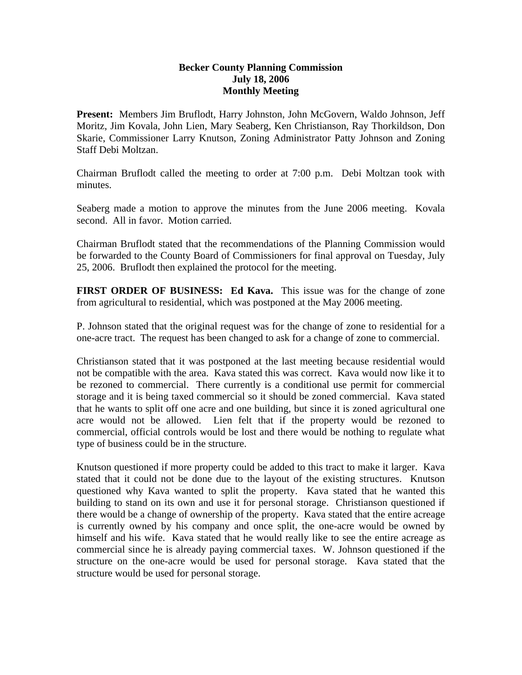### **Becker County Planning Commission July 18, 2006 Monthly Meeting**

**Present:** Members Jim Bruflodt, Harry Johnston, John McGovern, Waldo Johnson, Jeff Moritz, Jim Kovala, John Lien, Mary Seaberg, Ken Christianson, Ray Thorkildson, Don Skarie, Commissioner Larry Knutson, Zoning Administrator Patty Johnson and Zoning Staff Debi Moltzan.

Chairman Bruflodt called the meeting to order at 7:00 p.m. Debi Moltzan took with minutes.

Seaberg made a motion to approve the minutes from the June 2006 meeting. Kovala second. All in favor. Motion carried.

Chairman Bruflodt stated that the recommendations of the Planning Commission would be forwarded to the County Board of Commissioners for final approval on Tuesday, July 25, 2006. Bruflodt then explained the protocol for the meeting.

**FIRST ORDER OF BUSINESS: Ed Kava.** This issue was for the change of zone from agricultural to residential, which was postponed at the May 2006 meeting.

P. Johnson stated that the original request was for the change of zone to residential for a one-acre tract. The request has been changed to ask for a change of zone to commercial.

Christianson stated that it was postponed at the last meeting because residential would not be compatible with the area. Kava stated this was correct. Kava would now like it to be rezoned to commercial. There currently is a conditional use permit for commercial storage and it is being taxed commercial so it should be zoned commercial. Kava stated that he wants to split off one acre and one building, but since it is zoned agricultural one acre would not be allowed. Lien felt that if the property would be rezoned to commercial, official controls would be lost and there would be nothing to regulate what type of business could be in the structure.

Knutson questioned if more property could be added to this tract to make it larger. Kava stated that it could not be done due to the layout of the existing structures. Knutson questioned why Kava wanted to split the property. Kava stated that he wanted this building to stand on its own and use it for personal storage. Christianson questioned if there would be a change of ownership of the property. Kava stated that the entire acreage is currently owned by his company and once split, the one-acre would be owned by himself and his wife. Kava stated that he would really like to see the entire acreage as commercial since he is already paying commercial taxes. W. Johnson questioned if the structure on the one-acre would be used for personal storage. Kava stated that the structure would be used for personal storage.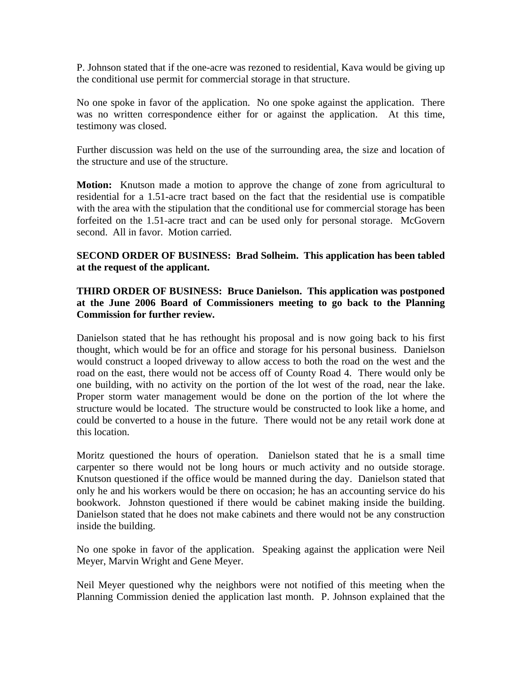P. Johnson stated that if the one-acre was rezoned to residential, Kava would be giving up the conditional use permit for commercial storage in that structure.

No one spoke in favor of the application. No one spoke against the application. There was no written correspondence either for or against the application. At this time, testimony was closed.

Further discussion was held on the use of the surrounding area, the size and location of the structure and use of the structure.

**Motion:** Knutson made a motion to approve the change of zone from agricultural to residential for a 1.51-acre tract based on the fact that the residential use is compatible with the area with the stipulation that the conditional use for commercial storage has been forfeited on the 1.51-acre tract and can be used only for personal storage. McGovern second. All in favor. Motion carried.

# **SECOND ORDER OF BUSINESS: Brad Solheim. This application has been tabled at the request of the applicant.**

# **THIRD ORDER OF BUSINESS: Bruce Danielson. This application was postponed at the June 2006 Board of Commissioners meeting to go back to the Planning Commission for further review.**

Danielson stated that he has rethought his proposal and is now going back to his first thought, which would be for an office and storage for his personal business. Danielson would construct a looped driveway to allow access to both the road on the west and the road on the east, there would not be access off of County Road 4. There would only be one building, with no activity on the portion of the lot west of the road, near the lake. Proper storm water management would be done on the portion of the lot where the structure would be located. The structure would be constructed to look like a home, and could be converted to a house in the future. There would not be any retail work done at this location.

Moritz questioned the hours of operation. Danielson stated that he is a small time carpenter so there would not be long hours or much activity and no outside storage. Knutson questioned if the office would be manned during the day. Danielson stated that only he and his workers would be there on occasion; he has an accounting service do his bookwork. Johnston questioned if there would be cabinet making inside the building. Danielson stated that he does not make cabinets and there would not be any construction inside the building.

No one spoke in favor of the application. Speaking against the application were Neil Meyer, Marvin Wright and Gene Meyer.

Neil Meyer questioned why the neighbors were not notified of this meeting when the Planning Commission denied the application last month. P. Johnson explained that the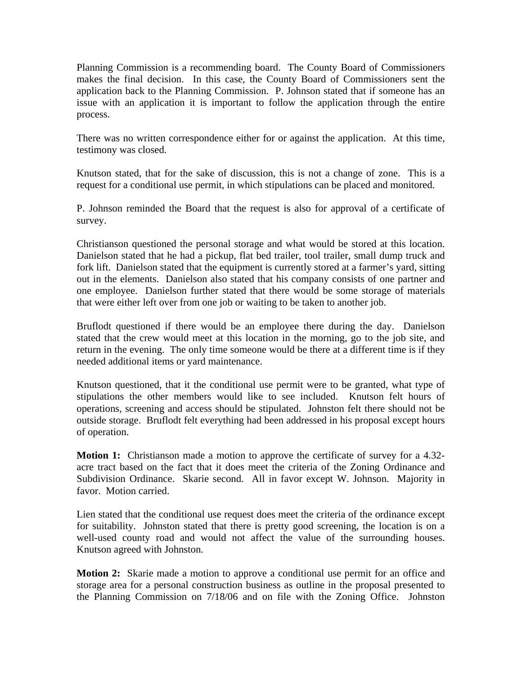Planning Commission is a recommending board. The County Board of Commissioners makes the final decision. In this case, the County Board of Commissioners sent the application back to the Planning Commission. P. Johnson stated that if someone has an issue with an application it is important to follow the application through the entire process.

There was no written correspondence either for or against the application. At this time, testimony was closed.

Knutson stated, that for the sake of discussion, this is not a change of zone. This is a request for a conditional use permit, in which stipulations can be placed and monitored.

P. Johnson reminded the Board that the request is also for approval of a certificate of survey.

Christianson questioned the personal storage and what would be stored at this location. Danielson stated that he had a pickup, flat bed trailer, tool trailer, small dump truck and fork lift. Danielson stated that the equipment is currently stored at a farmer's yard, sitting out in the elements. Danielson also stated that his company consists of one partner and one employee. Danielson further stated that there would be some storage of materials that were either left over from one job or waiting to be taken to another job.

Bruflodt questioned if there would be an employee there during the day. Danielson stated that the crew would meet at this location in the morning, go to the job site, and return in the evening. The only time someone would be there at a different time is if they needed additional items or yard maintenance.

Knutson questioned, that it the conditional use permit were to be granted, what type of stipulations the other members would like to see included. Knutson felt hours of operations, screening and access should be stipulated. Johnston felt there should not be outside storage. Bruflodt felt everything had been addressed in his proposal except hours of operation.

**Motion 1:** Christianson made a motion to approve the certificate of survey for a 4.32acre tract based on the fact that it does meet the criteria of the Zoning Ordinance and Subdivision Ordinance. Skarie second. All in favor except W. Johnson. Majority in favor. Motion carried.

Lien stated that the conditional use request does meet the criteria of the ordinance except for suitability. Johnston stated that there is pretty good screening, the location is on a well-used county road and would not affect the value of the surrounding houses. Knutson agreed with Johnston.

**Motion 2:** Skarie made a motion to approve a conditional use permit for an office and storage area for a personal construction business as outline in the proposal presented to the Planning Commission on 7/18/06 and on file with the Zoning Office. Johnston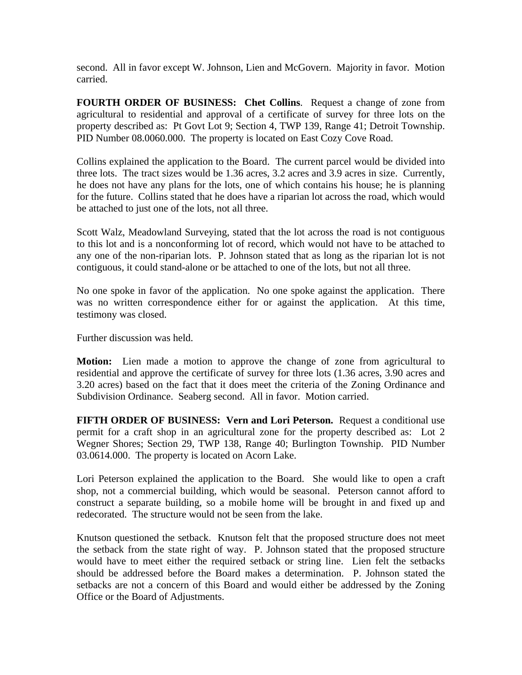second. All in favor except W. Johnson, Lien and McGovern. Majority in favor. Motion carried.

**FOURTH ORDER OF BUSINESS: Chet Collins**. Request a change of zone from agricultural to residential and approval of a certificate of survey for three lots on the property described as: Pt Govt Lot 9; Section 4, TWP 139, Range 41; Detroit Township. PID Number 08.0060.000. The property is located on East Cozy Cove Road.

Collins explained the application to the Board. The current parcel would be divided into three lots. The tract sizes would be 1.36 acres, 3.2 acres and 3.9 acres in size. Currently, he does not have any plans for the lots, one of which contains his house; he is planning for the future. Collins stated that he does have a riparian lot across the road, which would be attached to just one of the lots, not all three.

Scott Walz, Meadowland Surveying, stated that the lot across the road is not contiguous to this lot and is a nonconforming lot of record, which would not have to be attached to any one of the non-riparian lots. P. Johnson stated that as long as the riparian lot is not contiguous, it could stand-alone or be attached to one of the lots, but not all three.

No one spoke in favor of the application. No one spoke against the application. There was no written correspondence either for or against the application. At this time, testimony was closed.

Further discussion was held.

**Motion:** Lien made a motion to approve the change of zone from agricultural to residential and approve the certificate of survey for three lots (1.36 acres, 3.90 acres and 3.20 acres) based on the fact that it does meet the criteria of the Zoning Ordinance and Subdivision Ordinance. Seaberg second. All in favor. Motion carried.

**FIFTH ORDER OF BUSINESS: Vern and Lori Peterson.** Request a conditional use permit for a craft shop in an agricultural zone for the property described as: Lot 2 Wegner Shores; Section 29, TWP 138, Range 40; Burlington Township. PID Number 03.0614.000. The property is located on Acorn Lake.

Lori Peterson explained the application to the Board. She would like to open a craft shop, not a commercial building, which would be seasonal. Peterson cannot afford to construct a separate building, so a mobile home will be brought in and fixed up and redecorated. The structure would not be seen from the lake.

Knutson questioned the setback. Knutson felt that the proposed structure does not meet the setback from the state right of way. P. Johnson stated that the proposed structure would have to meet either the required setback or string line. Lien felt the setbacks should be addressed before the Board makes a determination. P. Johnson stated the setbacks are not a concern of this Board and would either be addressed by the Zoning Office or the Board of Adjustments.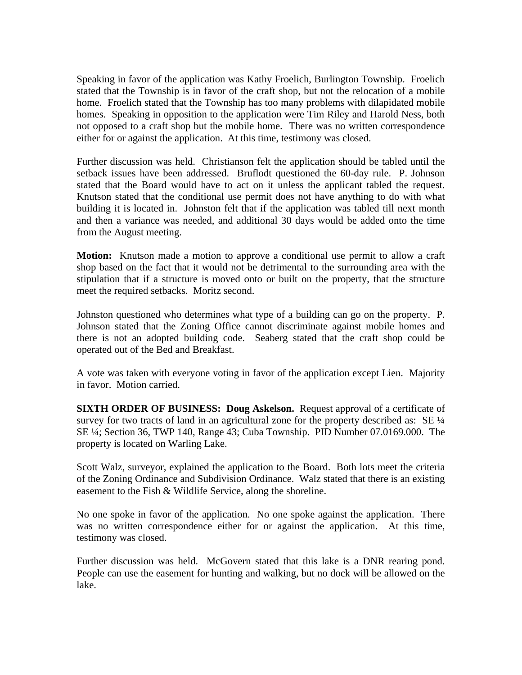Speaking in favor of the application was Kathy Froelich, Burlington Township. Froelich stated that the Township is in favor of the craft shop, but not the relocation of a mobile home. Froelich stated that the Township has too many problems with dilapidated mobile homes. Speaking in opposition to the application were Tim Riley and Harold Ness, both not opposed to a craft shop but the mobile home. There was no written correspondence either for or against the application. At this time, testimony was closed.

Further discussion was held. Christianson felt the application should be tabled until the setback issues have been addressed. Bruflodt questioned the 60-day rule. P. Johnson stated that the Board would have to act on it unless the applicant tabled the request. Knutson stated that the conditional use permit does not have anything to do with what building it is located in. Johnston felt that if the application was tabled till next month and then a variance was needed, and additional 30 days would be added onto the time from the August meeting.

**Motion:** Knutson made a motion to approve a conditional use permit to allow a craft shop based on the fact that it would not be detrimental to the surrounding area with the stipulation that if a structure is moved onto or built on the property, that the structure meet the required setbacks. Moritz second.

Johnston questioned who determines what type of a building can go on the property. P. Johnson stated that the Zoning Office cannot discriminate against mobile homes and there is not an adopted building code. Seaberg stated that the craft shop could be operated out of the Bed and Breakfast.

A vote was taken with everyone voting in favor of the application except Lien. Majority in favor. Motion carried.

**SIXTH ORDER OF BUSINESS: Doug Askelson.** Request approval of a certificate of survey for two tracts of land in an agricultural zone for the property described as: SE 1/4 SE ¼; Section 36, TWP 140, Range 43; Cuba Township. PID Number 07.0169.000. The property is located on Warling Lake.

Scott Walz, surveyor, explained the application to the Board. Both lots meet the criteria of the Zoning Ordinance and Subdivision Ordinance. Walz stated that there is an existing easement to the Fish & Wildlife Service, along the shoreline.

No one spoke in favor of the application. No one spoke against the application. There was no written correspondence either for or against the application. At this time, testimony was closed.

Further discussion was held. McGovern stated that this lake is a DNR rearing pond. People can use the easement for hunting and walking, but no dock will be allowed on the lake.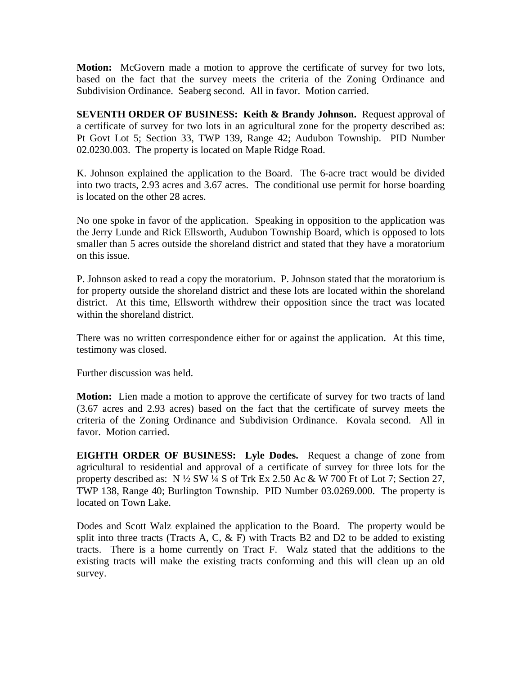**Motion:** McGovern made a motion to approve the certificate of survey for two lots, based on the fact that the survey meets the criteria of the Zoning Ordinance and Subdivision Ordinance. Seaberg second. All in favor. Motion carried.

**SEVENTH ORDER OF BUSINESS: Keith & Brandy Johnson.** Request approval of a certificate of survey for two lots in an agricultural zone for the property described as: Pt Govt Lot 5; Section 33, TWP 139, Range 42; Audubon Township. PID Number 02.0230.003. The property is located on Maple Ridge Road.

K. Johnson explained the application to the Board. The 6-acre tract would be divided into two tracts, 2.93 acres and 3.67 acres. The conditional use permit for horse boarding is located on the other 28 acres.

No one spoke in favor of the application. Speaking in opposition to the application was the Jerry Lunde and Rick Ellsworth, Audubon Township Board, which is opposed to lots smaller than 5 acres outside the shoreland district and stated that they have a moratorium on this issue.

P. Johnson asked to read a copy the moratorium. P. Johnson stated that the moratorium is for property outside the shoreland district and these lots are located within the shoreland district. At this time, Ellsworth withdrew their opposition since the tract was located within the shoreland district.

There was no written correspondence either for or against the application. At this time, testimony was closed.

Further discussion was held.

**Motion:** Lien made a motion to approve the certificate of survey for two tracts of land (3.67 acres and 2.93 acres) based on the fact that the certificate of survey meets the criteria of the Zoning Ordinance and Subdivision Ordinance. Kovala second. All in favor. Motion carried.

**EIGHTH ORDER OF BUSINESS: Lyle Dodes.** Request a change of zone from agricultural to residential and approval of a certificate of survey for three lots for the property described as: N ½ SW ¼ S of Trk Ex 2.50 Ac & W 700 Ft of Lot 7; Section 27, TWP 138, Range 40; Burlington Township. PID Number 03.0269.000. The property is located on Town Lake.

Dodes and Scott Walz explained the application to the Board. The property would be split into three tracts (Tracts A, C,  $\&$  F) with Tracts B2 and D2 to be added to existing tracts. There is a home currently on Tract F. Walz stated that the additions to the existing tracts will make the existing tracts conforming and this will clean up an old survey.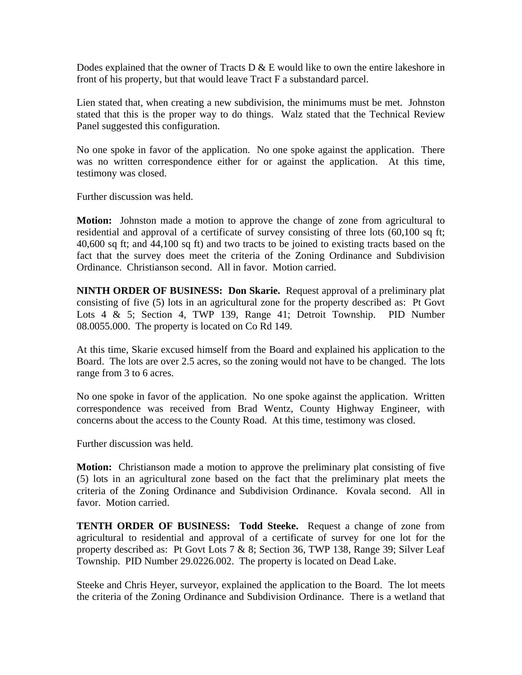Dodes explained that the owner of Tracts  $D \& E$  would like to own the entire lakeshore in front of his property, but that would leave Tract F a substandard parcel.

Lien stated that, when creating a new subdivision, the minimums must be met. Johnston stated that this is the proper way to do things. Walz stated that the Technical Review Panel suggested this configuration.

No one spoke in favor of the application. No one spoke against the application. There was no written correspondence either for or against the application. At this time, testimony was closed.

Further discussion was held.

**Motion:** Johnston made a motion to approve the change of zone from agricultural to residential and approval of a certificate of survey consisting of three lots (60,100 sq ft; 40,600 sq ft; and 44,100 sq ft) and two tracts to be joined to existing tracts based on the fact that the survey does meet the criteria of the Zoning Ordinance and Subdivision Ordinance. Christianson second. All in favor. Motion carried.

**NINTH ORDER OF BUSINESS: Don Skarie.** Request approval of a preliminary plat consisting of five (5) lots in an agricultural zone for the property described as: Pt Govt Lots 4 & 5; Section 4, TWP 139, Range 41; Detroit Township. PID Number 08.0055.000. The property is located on Co Rd 149.

At this time, Skarie excused himself from the Board and explained his application to the Board. The lots are over 2.5 acres, so the zoning would not have to be changed. The lots range from 3 to 6 acres.

No one spoke in favor of the application. No one spoke against the application. Written correspondence was received from Brad Wentz, County Highway Engineer, with concerns about the access to the County Road. At this time, testimony was closed.

Further discussion was held.

**Motion:** Christianson made a motion to approve the preliminary plat consisting of five (5) lots in an agricultural zone based on the fact that the preliminary plat meets the criteria of the Zoning Ordinance and Subdivision Ordinance. Kovala second. All in favor. Motion carried.

**TENTH ORDER OF BUSINESS: Todd Steeke.** Request a change of zone from agricultural to residential and approval of a certificate of survey for one lot for the property described as: Pt Govt Lots 7 & 8; Section 36, TWP 138, Range 39; Silver Leaf Township. PID Number 29.0226.002. The property is located on Dead Lake.

Steeke and Chris Heyer, surveyor, explained the application to the Board. The lot meets the criteria of the Zoning Ordinance and Subdivision Ordinance. There is a wetland that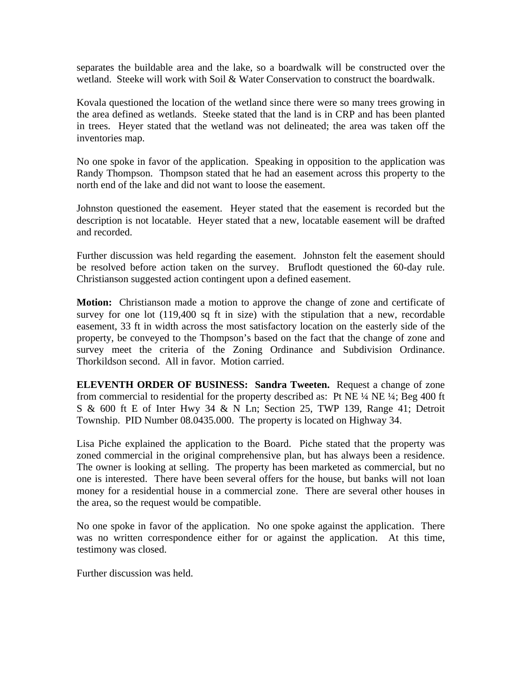separates the buildable area and the lake, so a boardwalk will be constructed over the wetland. Steeke will work with Soil & Water Conservation to construct the boardwalk.

Kovala questioned the location of the wetland since there were so many trees growing in the area defined as wetlands. Steeke stated that the land is in CRP and has been planted in trees. Heyer stated that the wetland was not delineated; the area was taken off the inventories map.

No one spoke in favor of the application. Speaking in opposition to the application was Randy Thompson. Thompson stated that he had an easement across this property to the north end of the lake and did not want to loose the easement.

Johnston questioned the easement. Heyer stated that the easement is recorded but the description is not locatable. Heyer stated that a new, locatable easement will be drafted and recorded.

Further discussion was held regarding the easement. Johnston felt the easement should be resolved before action taken on the survey. Bruflodt questioned the 60-day rule. Christianson suggested action contingent upon a defined easement.

**Motion:** Christianson made a motion to approve the change of zone and certificate of survey for one lot (119,400 sq ft in size) with the stipulation that a new, recordable easement, 33 ft in width across the most satisfactory location on the easterly side of the property, be conveyed to the Thompson's based on the fact that the change of zone and survey meet the criteria of the Zoning Ordinance and Subdivision Ordinance. Thorkildson second. All in favor. Motion carried.

**ELEVENTH ORDER OF BUSINESS: Sandra Tweeten.** Request a change of zone from commercial to residential for the property described as: Pt NE ¼ NE ¼; Beg 400 ft S & 600 ft E of Inter Hwy 34 & N Ln; Section 25, TWP 139, Range 41; Detroit Township. PID Number 08.0435.000. The property is located on Highway 34.

Lisa Piche explained the application to the Board. Piche stated that the property was zoned commercial in the original comprehensive plan, but has always been a residence. The owner is looking at selling. The property has been marketed as commercial, but no one is interested. There have been several offers for the house, but banks will not loan money for a residential house in a commercial zone. There are several other houses in the area, so the request would be compatible.

No one spoke in favor of the application. No one spoke against the application. There was no written correspondence either for or against the application. At this time, testimony was closed.

Further discussion was held.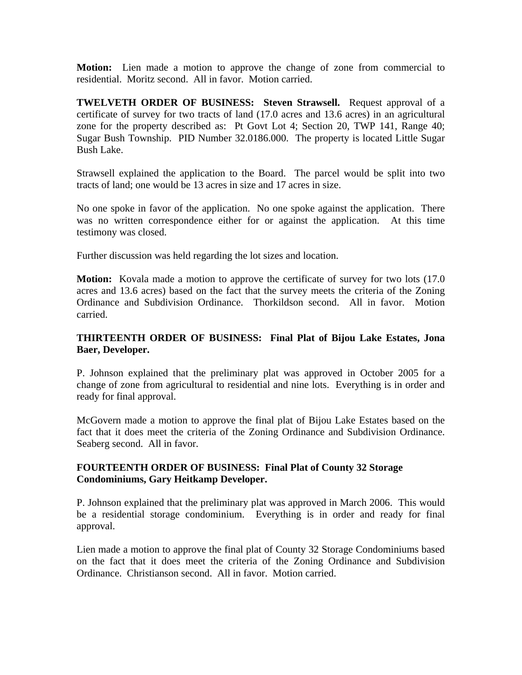**Motion:** Lien made a motion to approve the change of zone from commercial to residential. Moritz second. All in favor. Motion carried.

**TWELVETH ORDER OF BUSINESS: Steven Strawsell.** Request approval of a certificate of survey for two tracts of land (17.0 acres and 13.6 acres) in an agricultural zone for the property described as: Pt Govt Lot 4; Section 20, TWP 141, Range 40; Sugar Bush Township. PID Number 32.0186.000. The property is located Little Sugar Bush Lake.

Strawsell explained the application to the Board. The parcel would be split into two tracts of land; one would be 13 acres in size and 17 acres in size.

No one spoke in favor of the application. No one spoke against the application. There was no written correspondence either for or against the application. At this time testimony was closed.

Further discussion was held regarding the lot sizes and location.

**Motion:** Kovala made a motion to approve the certificate of survey for two lots (17.0) acres and 13.6 acres) based on the fact that the survey meets the criteria of the Zoning Ordinance and Subdivision Ordinance. Thorkildson second. All in favor. Motion carried.

# **THIRTEENTH ORDER OF BUSINESS: Final Plat of Bijou Lake Estates, Jona Baer, Developer.**

P. Johnson explained that the preliminary plat was approved in October 2005 for a change of zone from agricultural to residential and nine lots. Everything is in order and ready for final approval.

McGovern made a motion to approve the final plat of Bijou Lake Estates based on the fact that it does meet the criteria of the Zoning Ordinance and Subdivision Ordinance. Seaberg second. All in favor.

### **FOURTEENTH ORDER OF BUSINESS: Final Plat of County 32 Storage Condominiums, Gary Heitkamp Developer.**

P. Johnson explained that the preliminary plat was approved in March 2006. This would be a residential storage condominium. Everything is in order and ready for final approval.

Lien made a motion to approve the final plat of County 32 Storage Condominiums based on the fact that it does meet the criteria of the Zoning Ordinance and Subdivision Ordinance. Christianson second. All in favor. Motion carried.